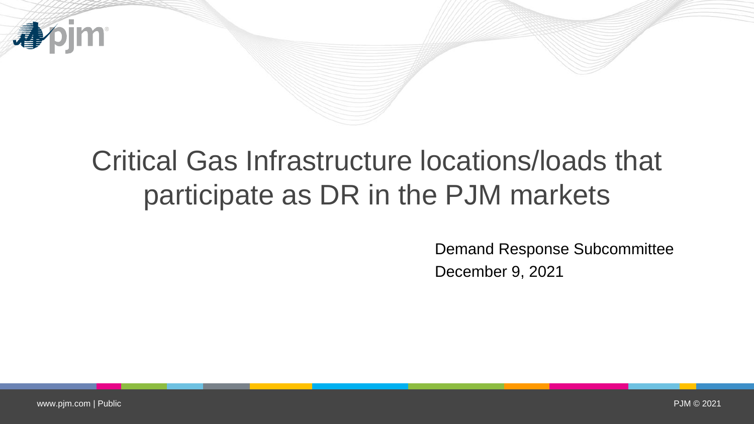

## Critical Gas Infrastructure locations/loads that participate as DR in the PJM markets

Demand Response Subcommittee December 9, 2021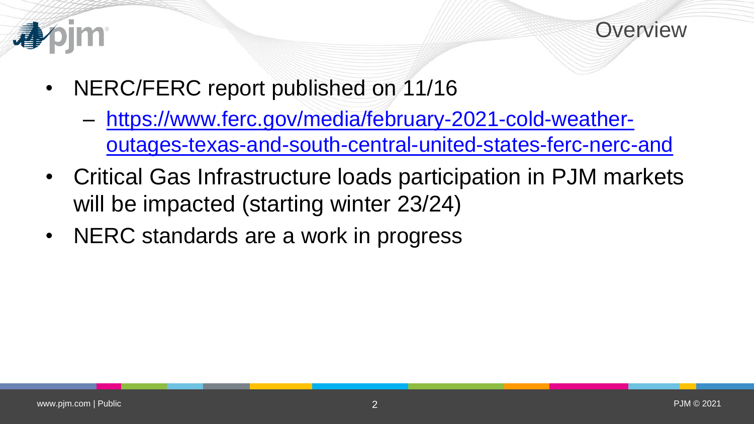



- NERC/FERC report published on 11/16
	- https://www.ferc.gov/media/february-2021-cold-weather[outages-texas-and-south-central-united-states-ferc-nerc-and](https://www.ferc.gov/media/february-2021-cold-weather-outages-texas-and-south-central-united-states-ferc-nerc-and)
- Critical Gas Infrastructure loads participation in PJM markets will be impacted (starting winter 23/24)
- NERC standards are a work in progress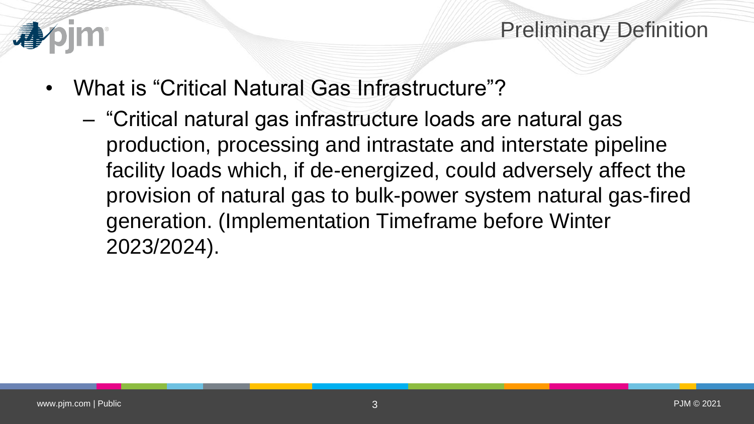

## Preliminary Definition

- What is "Critical Natural Gas Infrastructure"?
	- "Critical natural gas infrastructure loads are natural gas production, processing and intrastate and interstate pipeline facility loads which, if de-energized, could adversely affect the provision of natural gas to bulk-power system natural gas-fired generation. (Implementation Timeframe before Winter 2023/2024).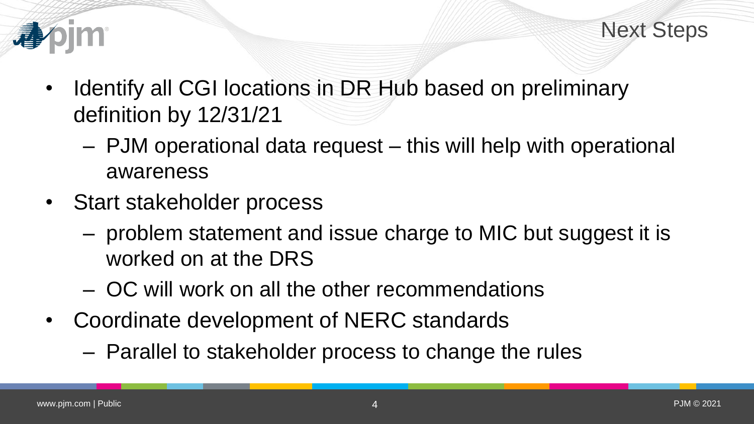

- Identify all CGI locations in DR Hub based on preliminary definition by 12/31/21
	- PJM operational data request this will help with operational awareness
- Start stakeholder process
	- problem statement and issue charge to MIC but suggest it is worked on at the DRS
	- OC will work on all the other recommendations
- Coordinate development of NERC standards
	- Parallel to stakeholder process to change the rules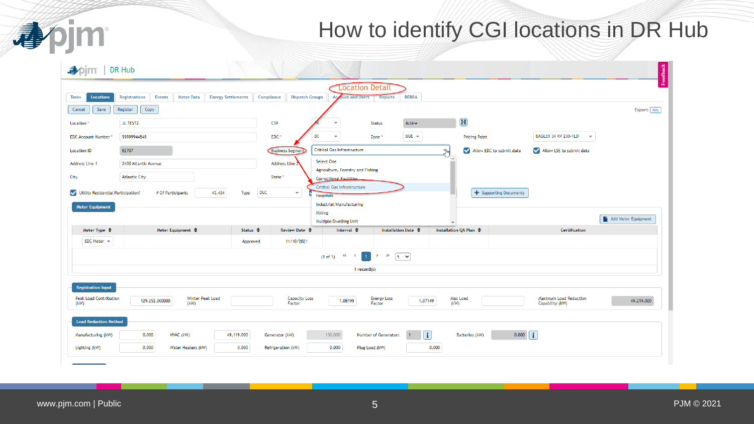## How to identify CGI locations in DR Hub

| <b>Location Detail</b><br><b>Registrations</b><br><b>Events</b><br><b>Meter Data</b><br><b>Energy Settlements</b><br>Compliance<br><b>Dispatch Groups</b><br><b>Account and Users</b><br><b>RERRA</b><br><b>Tasks</b><br><b>Locations</b><br><b>Reports</b><br>Copy<br>Cancel<br>Register<br>Save |                     |
|---------------------------------------------------------------------------------------------------------------------------------------------------------------------------------------------------------------------------------------------------------------------------------------------------|---------------------|
|                                                                                                                                                                                                                                                                                                   |                     |
|                                                                                                                                                                                                                                                                                                   | Export: XML         |
| $\mathbf H$<br><b>CSP</b><br><b>JL TEST2</b><br>Active<br>Location<br>$\overline{\phantom{a}}$<br><b>Status</b>                                                                                                                                                                                   |                     |
| BC<br>$BGE$ $\rightarrow$<br>BAGLEY 34 KV 230-1LD<br>99999944848<br>EDC <sup>*</sup><br>$\overline{\mathbf{v}}$<br><b>EDC Account Number</b><br>$\overline{\phantom{a}}$<br>Zone <sup>*</sup><br><b>Pricing Point</b>                                                                             |                     |
| <b>Critical Gas Infrastructure</b><br>Allow EDC to submit data<br>Allow LSE to submit data<br>82707<br><b>Business Segmen</b><br>$\Pb$<br><b>Location ID</b>                                                                                                                                      |                     |
| Select One<br>Address Line 2<br>Address Line 1<br>2430 Atlantic Avenue                                                                                                                                                                                                                            |                     |
| Agriculture, Forestry and Fishing<br><b>Atlantic City</b><br>State <sup>'</sup><br>City<br>Correctional Eacilities                                                                                                                                                                                |                     |
| <b>Critical Gas Infrastructure</b><br><b>DLC</b><br>Utility Residential Participation?<br>43,434<br>+ Supporting Documents<br># Of Participants<br>Type<br>$\overline{\mathbf{v}}$                                                                                                                |                     |
| <b>Hospitals</b><br>Industrial/Manufacturing<br><b>Meter Equipment</b>                                                                                                                                                                                                                            |                     |
| Mining                                                                                                                                                                                                                                                                                            | Add Meter Equipment |
| Multiple Dwelling Unit<br>Meter Equipment ♦<br><b>Installation QA Plan ♦</b><br>Meter Type $\triangle$<br>Status $\triangle$<br>Review Date $\triangle$<br>Interval $\triangle$<br><b>Installation Date ♦</b><br>Certification                                                                    |                     |
| $EDC$ Meter $\sim$<br>11/10/2021<br>Approved                                                                                                                                                                                                                                                      |                     |
| (1 of 1) $\left\langle \left( \begin{array}{ccc} 1 & 0 & 0 \\ 0 & \lambda \end{array} \right) \right\rangle$                                                                                                                                                                                      |                     |
| 1 record(s)                                                                                                                                                                                                                                                                                       |                     |
| <b>Registration Input</b>                                                                                                                                                                                                                                                                         |                     |
| Maximum Load Reduction<br><b>Peak Load Contribution</b><br>Winter Peak Load<br><b>Capacity Loss</b><br><b>Energy Loss</b><br>Max Load<br>129,252.000000<br>1.08199<br>1.07149<br>(kW)<br>(kW)<br>Capability (kW)<br>(kW)<br>Factor<br>Factor                                                      | 49,219.000          |
| <b>Load Reduction Method</b>                                                                                                                                                                                                                                                                      |                     |
| $\mathbf{ii}$<br>$0.000$ $\mathbf{i}$<br>0.000<br>49,119.000<br>100.000<br>HVAC (kW)<br>Number of Generators<br>Batteries (kW)<br>Manufacturing (kW)<br>Generator (kW)                                                                                                                            |                     |
| 0.000<br>0.000<br>0.000<br>0.000<br>Lighting (kW)<br>Water Heaters (kW)<br>Refrigeration (kW)<br>Plug Load (kW)                                                                                                                                                                                   |                     |

apjm